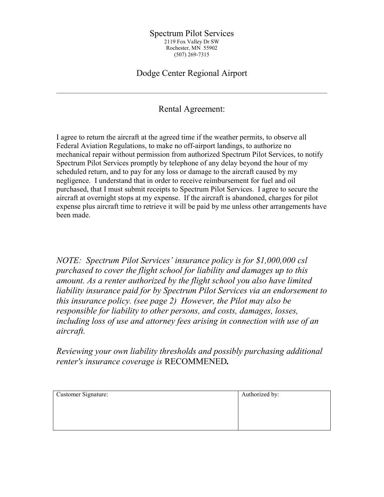## Spectrum Pilot Services 2119 Fox Valley Dr SW Rochester, MN 55902 (507) 269-7315

## Dodge Center Regional Airport

## Rental Agreement:

I agree to return the aircraft at the agreed time if the weather permits, to observe all Federal Aviation Regulations, to make no off-airport landings, to authorize no mechanical repair without permission from authorized Spectrum Pilot Services, to notify Spectrum Pilot Services promptly by telephone of any delay beyond the hour of my scheduled return, and to pay for any loss or damage to the aircraft caused by my negligence. I understand that in order to receive reimbursement for fuel and oil purchased, that I must submit receipts to Spectrum Pilot Services. I agree to secure the aircraft at overnight stops at my expense. If the aircraft is abandoned, charges for pilot expense plus aircraft time to retrieve it will be paid by me unless other arrangements have been made.

NOTE: Spectrum Pilot Services' insurance policy is for \$1,000,000 csl purchased to cover the flight school for liability and damages up to this amount. As a renter authorized by the flight school you also have limited liability insurance paid for by Spectrum Pilot Services via an endorsement to this insurance policy. (see page 2) However, the Pilot may also be responsible for liability to other persons, and costs, damages, losses, including loss of use and attorney fees arising in connection with use of an aircraft.

Reviewing your own liability thresholds and possibly purchasing additional renter's insurance coverage is RECOMMENED.

| Customer Signature: | Authorized by: |
|---------------------|----------------|
|                     |                |
|                     |                |
|                     |                |